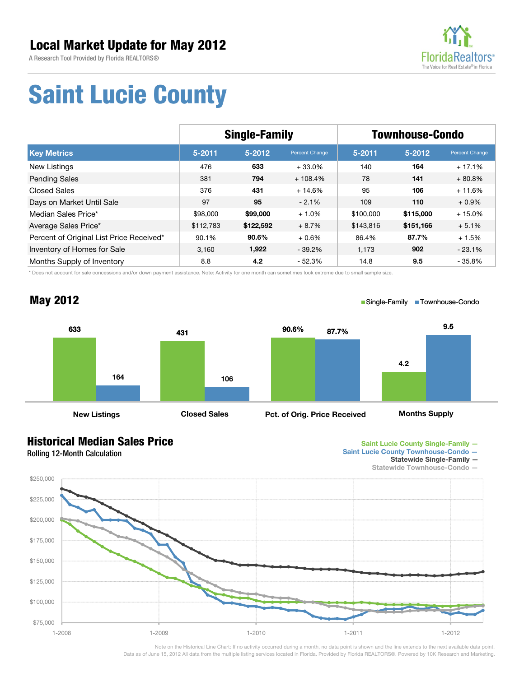A Research Tool Provided by Florida REALTORS®



## **Saint Lucie County**

|                                          | <b>Single-Family</b> |            |                | <b>Townhouse-Condo</b> |            |                |
|------------------------------------------|----------------------|------------|----------------|------------------------|------------|----------------|
| <b>Key Metrics</b>                       | $5 - 2011$           | $5 - 2012$ | Percent Change | $5 - 2011$             | $5 - 2012$ | Percent Change |
| New Listings                             | 476                  | 633        | $+33.0%$       | 140                    | 164        | $+17.1%$       |
| <b>Pending Sales</b>                     | 381                  | 794        | $+108.4%$      | 78                     | 141        | $+80.8%$       |
| <b>Closed Sales</b>                      | 376                  | 431        | $+14.6%$       | 95                     | 106        | $+11.6%$       |
| Days on Market Until Sale                | 97                   | 95         | $-2.1%$        | 109                    | 110        | $+0.9\%$       |
| Median Sales Price*                      | \$98,000             | \$99,000   | $+1.0%$        | \$100,000              | \$115,000  | $+15.0%$       |
| Average Sales Price*                     | \$112,783            | \$122,592  | $+8.7%$        | \$143,816              | \$151,166  | $+5.1%$        |
| Percent of Original List Price Received* | 90.1%                | 90.6%      | $+0.6%$        | 86.4%                  | 87.7%      | $+1.5%$        |
| Inventory of Homes for Sale              | 3,160                | 1,922      | $-39.2\%$      | 1,173                  | 902        | $-23.1%$       |
| Months Supply of Inventory               | 8.8                  | 4.2        | $-52.3%$       | 14.8                   | 9.5        | $-35.8%$       |

\* Does not account for sale concessions and/or down payment assistance. Note: Activity for one month can sometimes look extreme due to small sample size.



## **Historical Median Sales Price**

Rolling 12-Month Calculation

**May 2012**



■ Single-Family ■ Townhouse-Condo

**Statewide Single-Family —** 

**Statewide Townhouse-Condo —** 



Note on the Historical Line Chart: If no activity occurred during a month, no data point is shown and the line extends to the next available data point. Data as of June 15, 2012 All data from the multiple listing services located in Florida. Provided by Florida REALTORS®. Powered by 10K Research and Marketing.